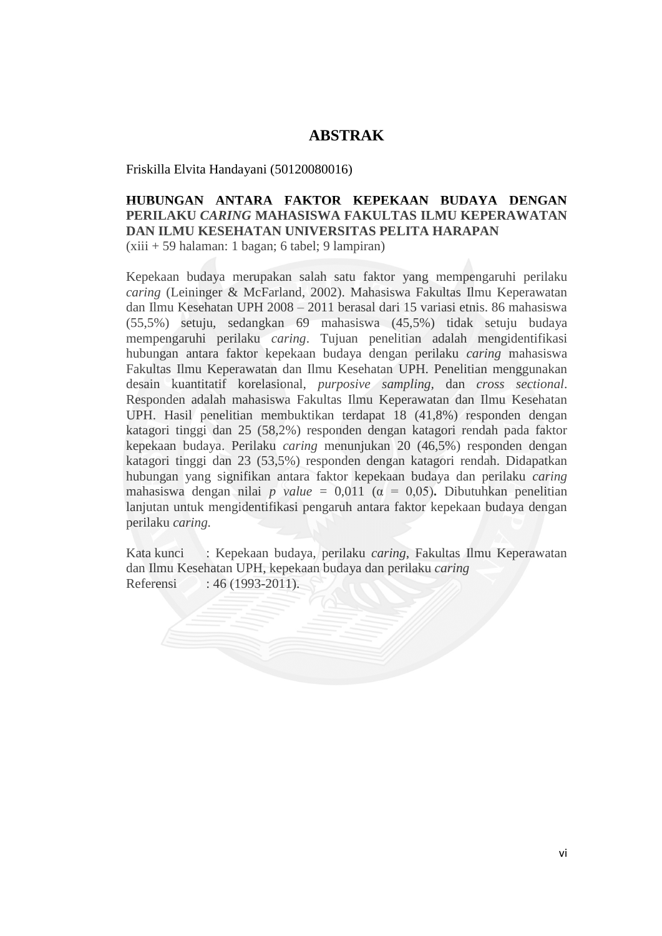## **ABSTRAK**

Friskilla Elvita Handayani (50120080016)

## **HUBUNGAN ANTARA FAKTOR KEPEKAAN BUDAYA DENGAN PERILAKU** *CARING* **MAHASISWA FAKULTAS ILMU KEPERAWATAN DAN ILMU KESEHATAN UNIVERSITAS PELITA HARAPAN** (xiii + 59 halaman: 1 bagan; 6 tabel; 9 lampiran)

Kepekaan budaya merupakan salah satu faktor yang mempengaruhi perilaku *caring* (Leininger & McFarland, 2002). Mahasiswa Fakultas Ilmu Keperawatan dan Ilmu Kesehatan UPH 2008 – 2011 berasal dari 15 variasi etnis. 86 mahasiswa (55,5%) setuju, sedangkan 69 mahasiswa (45,5%) tidak setuju budaya mempengaruhi perilaku *caring*. Tujuan penelitian adalah mengidentifikasi hubungan antara faktor kepekaan budaya dengan perilaku *caring* mahasiswa Fakultas Ilmu Keperawatan dan Ilmu Kesehatan UPH. Penelitian menggunakan desain kuantitatif korelasional, *purposive sampling,* dan *cross sectional*. Responden adalah mahasiswa Fakultas Ilmu Keperawatan dan Ilmu Kesehatan UPH. Hasil penelitian membuktikan terdapat 18 (41,8%) responden dengan katagori tinggi dan 25 (58,2%) responden dengan katagori rendah pada faktor kepekaan budaya. Perilaku *caring* menunjukan 20 (46,5%) responden dengan katagori tinggi dan 23 (53,5%) responden dengan katagori rendah. Didapatkan hubungan yang signifikan antara faktor kepekaan budaya dan perilaku *caring* mahasiswa dengan nilai *p value* = 0,011 ( $\alpha$  = 0,05). Dibutuhkan penelitian lanjutan untuk mengidentifikasi pengaruh antara faktor kepekaan budaya dengan perilaku *caring.*

Kata kunci : Kepekaan budaya, perilaku *caring*, Fakultas Ilmu Keperawatan dan Ilmu Kesehatan UPH, kepekaan budaya dan perilaku *caring* Referensi : 46 (1993-2011).